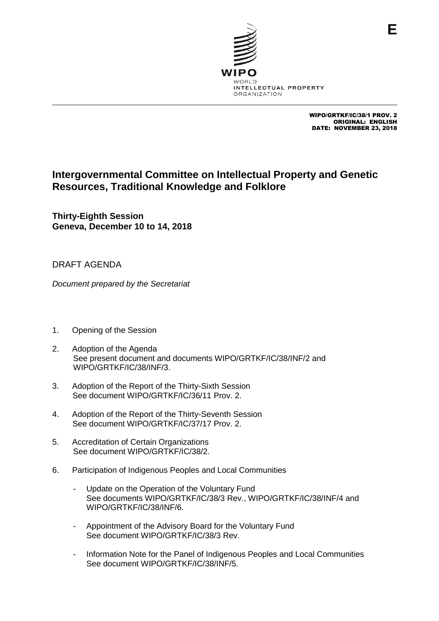

WIPO/GRTKF/IC/38/1 PROV. 2 ORIGINAL: ENGLISH DATE: NOVEMBER 23, 2018

## **Intergovernmental Committee on Intellectual Property and Genetic Resources, Traditional Knowledge and Folklore**

**Thirty-Eighth Session Geneva, December 10 to 14, 2018**

## DRAFT AGENDA

*Document prepared by the Secretariat*

- 1. Opening of the Session
- 2. Adoption of the Agenda See present document and documents WIPO/GRTKF/IC/38/INF/2 and WIPO/GRTKF/IC/38/INF/3.
- 3. Adoption of the Report of the Thirty-Sixth Session See document WIPO/GRTKF/IC/36/11 Prov. 2.
- 4. Adoption of the Report of the Thirty-Seventh Session See document WIPO/GRTKF/IC/37/17 Prov. 2.
- 5. Accreditation of Certain Organizations See document WIPO/GRTKF/IC/38/2.
- 6. Participation of Indigenous Peoples and Local Communities
	- Update on the Operation of the Voluntary Fund See documents WIPO/GRTKF/IC/38/3 Rev., WIPO/GRTKF/IC/38/INF/4 and WIPO/GRTKF/IC/38/INF/6.
	- Appointment of the Advisory Board for the Voluntary Fund See document WIPO/GRTKF/IC/38/3 Rev.
	- Information Note for the Panel of Indigenous Peoples and Local Communities See document WIPO/GRTKF/IC/38/INF/5.

**E**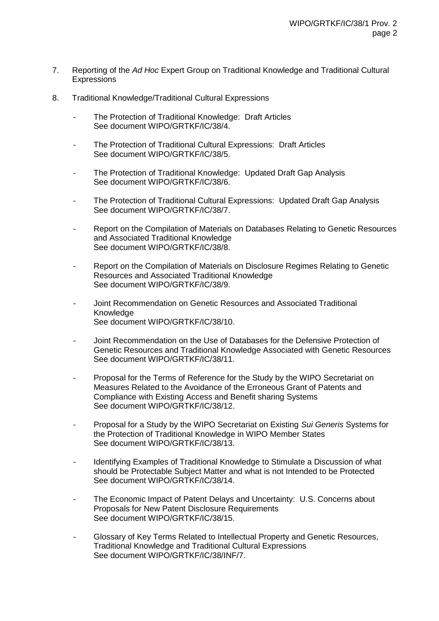- 7. Reporting of the *Ad Hoc* Expert Group on Traditional Knowledge and Traditional Cultural **Expressions**
- 8. Traditional Knowledge/Traditional Cultural Expressions
	- The Protection of Traditional Knowledge: Draft Articles See document WIPO/GRTKF/IC/38/4.
	- The Protection of Traditional Cultural Expressions: Draft Articles See document WIPO/GRTKF/IC/38/5.
	- The Protection of Traditional Knowledge: Updated Draft Gap Analysis See document WIPO/GRTKF/IC/38/6.
	- The Protection of Traditional Cultural Expressions: Updated Draft Gap Analysis See document WIPO/GRTKF/IC/38/7.
	- Report on the Compilation of Materials on Databases Relating to Genetic Resources and Associated Traditional Knowledge See document WIPO/GRTKF/IC/38/8.
	- Report on the Compilation of Materials on Disclosure Regimes Relating to Genetic Resources and Associated Traditional Knowledge See document WIPO/GRTKF/IC/38/9.
	- Joint Recommendation on Genetic Resources and Associated Traditional Knowledge See document WIPO/GRTKF/IC/38/10.
	- Joint Recommendation on the Use of Databases for the Defensive Protection of Genetic Resources and Traditional Knowledge Associated with Genetic Resources See document WIPO/GRTKF/IC/38/11.
	- Proposal for the Terms of Reference for the Study by the WIPO Secretariat on Measures Related to the Avoidance of the Erroneous Grant of Patents and Compliance with Existing Access and Benefit sharing Systems See document WIPO/GRTKF/IC/38/12.
	- Proposal for a Study by the WIPO Secretariat on Existing *Sui Generis* Systems for the Protection of Traditional Knowledge in WIPO Member States See document WIPO/GRTKF/IC/38/13.
	- Identifying Examples of Traditional Knowledge to Stimulate a Discussion of what should be Protectable Subject Matter and what is not Intended to be Protected See document WIPO/GRTKF/IC/38/14.
	- The Economic Impact of Patent Delays and Uncertainty: U.S. Concerns about Proposals for New Patent Disclosure Requirements See document WIPO/GRTKF/IC/38/15.
	- Glossary of Key Terms Related to Intellectual Property and Genetic Resources, Traditional Knowledge and Traditional Cultural Expressions See document WIPO/GRTKF/IC/38/INF/7.